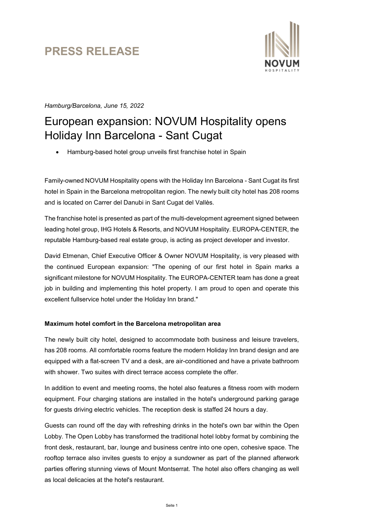# PRESS RELEASE



Hamburg/Barcelona, June 15, 2022

## European expansion: NOVUM Hospitality opens Holiday Inn Barcelona - Sant Cugat

Hamburg-based hotel group unveils first franchise hotel in Spain

Family-owned NOVUM Hospitality opens with the Holiday Inn Barcelona - Sant Cugat its first hotel in Spain in the Barcelona metropolitan region. The newly built city hotel has 208 rooms and is located on Carrer del Danubi in Sant Cugat del Vallès.

The franchise hotel is presented as part of the multi-development agreement signed between leading hotel group, IHG Hotels & Resorts, and NOVUM Hospitality. EUROPA-CENTER, the reputable Hamburg-based real estate group, is acting as project developer and investor.

David Etmenan, Chief Executive Officer & Owner NOVUM Hospitality, is very pleased with the continued European expansion: "The opening of our first hotel in Spain marks a significant milestone for NOVUM Hospitality. The EUROPA-CENTER team has done a great job in building and implementing this hotel property. I am proud to open and operate this excellent fullservice hotel under the Holiday Inn brand."

### Maximum hotel comfort in the Barcelona metropolitan area

The newly built city hotel, designed to accommodate both business and leisure travelers, has 208 rooms. All comfortable rooms feature the modern Holiday Inn brand design and are equipped with a flat-screen TV and a desk, are air-conditioned and have a private bathroom with shower. Two suites with direct terrace access complete the offer.

In addition to event and meeting rooms, the hotel also features a fitness room with modern equipment. Four charging stations are installed in the hotel's underground parking garage for guests driving electric vehicles. The reception desk is staffed 24 hours a day.

Guests can round off the day with refreshing drinks in the hotel's own bar within the Open Lobby. The Open Lobby has transformed the traditional hotel lobby format by combining the front desk, restaurant, bar, lounge and business centre into one open, cohesive space. The rooftop terrace also invites guests to enjoy a sundowner as part of the planned afterwork parties offering stunning views of Mount Montserrat. The hotel also offers changing as well as local delicacies at the hotel's restaurant.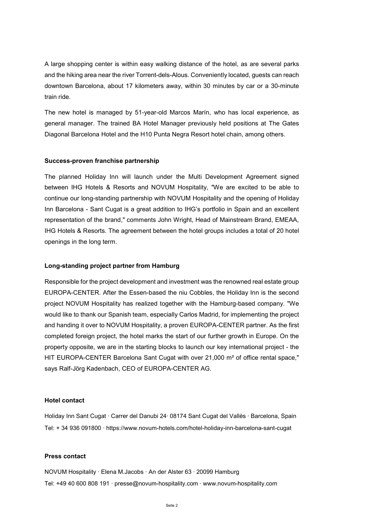A large shopping center is within easy walking distance of the hotel, as are several parks and the hiking area near the river Torrent-dels-Alous. Conveniently located, guests can reach downtown Barcelona, about 17 kilometers away, within 30 minutes by car or a 30-minute train ride.

The new hotel is managed by 51-year-old Marcos Marín, who has local experience, as general manager. The trained BA Hotel Manager previously held positions at The Gates Diagonal Barcelona Hotel and the H10 Punta Negra Resort hotel chain, among others.

#### Success-proven franchise partnership

The planned Holiday Inn will launch under the Multi Development Agreement signed between IHG Hotels & Resorts and NOVUM Hospitality, "We are excited to be able to continue our long-standing partnership with NOVUM Hospitality and the opening of Holiday Inn Barcelona - Sant Cugat is a great addition to IHG's portfolio in Spain and an excellent representation of the brand," comments John Wright, Head of Mainstream Brand, EMEAA, IHG Hotels & Resorts. The agreement between the hotel groups includes a total of 20 hotel openings in the long term.

#### Long-standing project partner from Hamburg

Responsible for the project development and investment was the renowned real estate group EUROPA-CENTER. After the Essen-based the niu Cobbles, the Holiday Inn is the second project NOVUM Hospitality has realized together with the Hamburg-based company. "We would like to thank our Spanish team, especially Carlos Madrid, for implementing the project and handing it over to NOVUM Hospitality, a proven EUROPA-CENTER partner. As the first completed foreign project, the hotel marks the start of our further growth in Europe. On the property opposite, we are in the starting blocks to launch our key international project - the HIT EUROPA-CENTER Barcelona Sant Cugat with over 21,000 m² of office rental space," says Ralf-Jörg Kadenbach, CEO of EUROPA-CENTER AG.

#### Hotel contact

Holiday Inn Sant Cugat ∙ Carrer del Danubi 24∙ 08174 Sant Cugat del Vallès ∙ Barcelona, Spain Tel: + 34 936 091800 ∙ https://www.novum-hotels.com/hotel-holiday-inn-barcelona-sant-cugat

#### Press contact

NOVUM Hospitality ∙ Elena M.Jacobs ∙ An der Alster 63 ∙ 20099 Hamburg Tel: +49 40 600 808 191 ∙ presse@novum-hospitality.com ∙ www.novum-hospitality.com